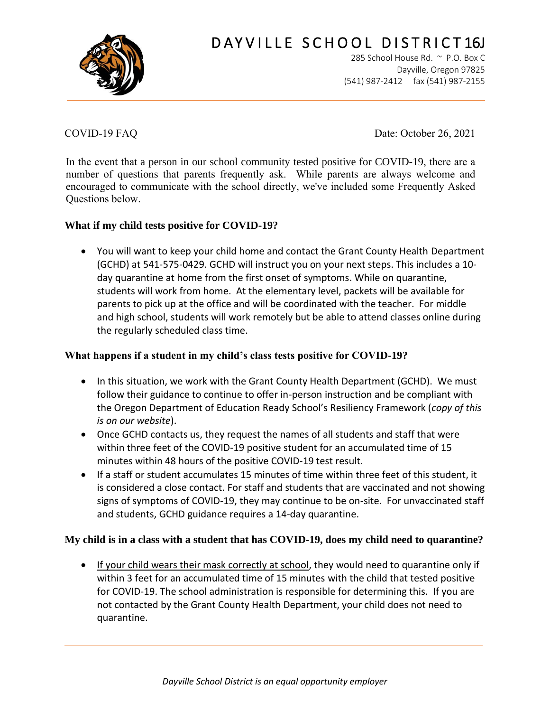

# DAYVILLE SCHOOL DISTRICT16J

285 School House Rd. ~ P.O. Box C Dayville, Oregon 97825 (541) 987-2412 fax (541) 987-2155

COVID-19 FAQ Date: October 26, 2021

In the event that a person in our school community tested positive for COVID-19, there are a number of questions that parents frequently ask. While parents are always welcome and encouraged to communicate with the school directly, we've included some Frequently Asked Questions below.

## **What if my child tests positive for COVID-19?**

• You will want to keep your child home and contact the Grant County Health Department (GCHD) at 541-575-0429. GCHD will instruct you on your next steps. This includes a 10 day quarantine at home from the first onset of symptoms. While on quarantine, students will work from home. At the elementary level, packets will be available for parents to pick up at the office and will be coordinated with the teacher. For middle and high school, students will work remotely but be able to attend classes online during the regularly scheduled class time.

#### **What happens if a student in my child's class tests positive for COVID-19?**

- In this situation, we work with the Grant County Health Department (GCHD). We must follow their guidance to continue to offer in-person instruction and be compliant with the Oregon Department of Education Ready School's Resiliency Framework (*copy of this is on our website*).
- Once GCHD contacts us, they request the names of all students and staff that were within three feet of the COVID-19 positive student for an accumulated time of 15 minutes within 48 hours of the positive COVID-19 test result.
- If a staff or student accumulates 15 minutes of time within three feet of this student, it is considered a close contact. For staff and students that are vaccinated and not showing signs of symptoms of COVID-19, they may continue to be on-site. For unvaccinated staff and students, GCHD guidance requires a 14-day quarantine.

## **My child is in a class with a student that has COVID-19, does my child need to quarantine?**

• If your child wears their mask correctly at school, they would need to quarantine only if within 3 feet for an accumulated time of 15 minutes with the child that tested positive for COVID-19. The school administration is responsible for determining this. If you are not contacted by the Grant County Health Department, your child does not need to quarantine.